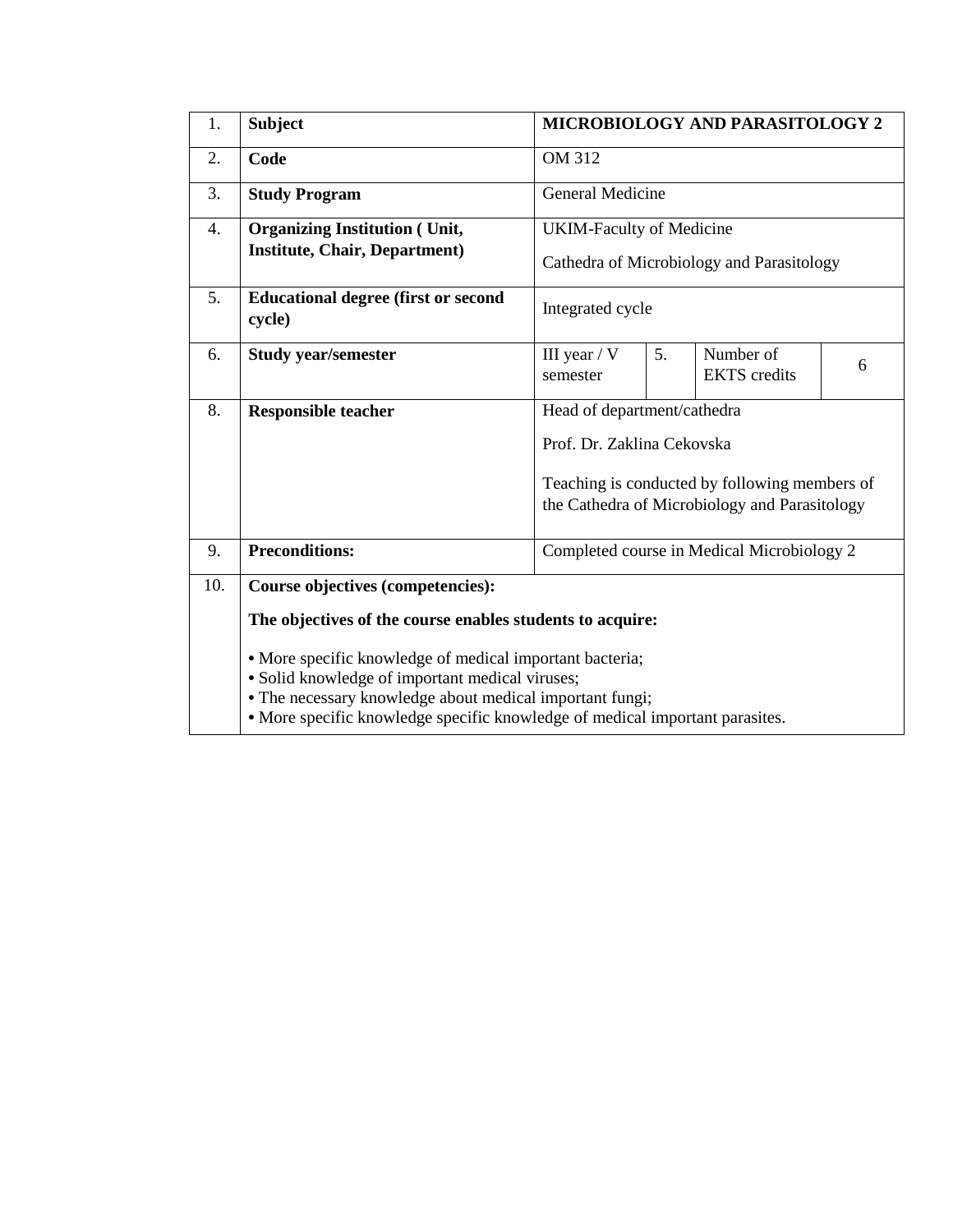| 1.  | <b>Subject</b>                                                                                                                                                                                                                                                                                                                                                   | MICROBIOLOGY AND PARASITOLOGY 2                                                                                                                             |                         |                                  |   |  |  |  |
|-----|------------------------------------------------------------------------------------------------------------------------------------------------------------------------------------------------------------------------------------------------------------------------------------------------------------------------------------------------------------------|-------------------------------------------------------------------------------------------------------------------------------------------------------------|-------------------------|----------------------------------|---|--|--|--|
| 2.  | Code                                                                                                                                                                                                                                                                                                                                                             | <b>OM 312</b>                                                                                                                                               |                         |                                  |   |  |  |  |
| 3.  | <b>Study Program</b>                                                                                                                                                                                                                                                                                                                                             |                                                                                                                                                             | <b>General Medicine</b> |                                  |   |  |  |  |
| 4.  | <b>Organizing Institution (Unit,</b><br><b>Institute, Chair, Department)</b>                                                                                                                                                                                                                                                                                     | <b>UKIM-Faculty of Medicine</b><br>Cathedra of Microbiology and Parasitology                                                                                |                         |                                  |   |  |  |  |
| 5.  | <b>Educational degree (first or second)</b><br>cycle)                                                                                                                                                                                                                                                                                                            | Integrated cycle                                                                                                                                            |                         |                                  |   |  |  |  |
| 6.  | <b>Study year/semester</b>                                                                                                                                                                                                                                                                                                                                       | III year $/ V$<br>semester                                                                                                                                  | 5.                      | Number of<br><b>EKTS</b> credits | 6 |  |  |  |
| 8.  | <b>Responsible teacher</b>                                                                                                                                                                                                                                                                                                                                       | Head of department/cathedra<br>Prof. Dr. Zaklina Cekovska<br>Teaching is conducted by following members of<br>the Cathedra of Microbiology and Parasitology |                         |                                  |   |  |  |  |
| 9.  | <b>Preconditions:</b>                                                                                                                                                                                                                                                                                                                                            | Completed course in Medical Microbiology 2                                                                                                                  |                         |                                  |   |  |  |  |
| 10. | <b>Course objectives (competencies):</b><br>The objectives of the course enables students to acquire:<br>• More specific knowledge of medical important bacteria;<br>· Solid knowledge of important medical viruses;<br>• The necessary knowledge about medical important fungi;<br>• More specific knowledge specific knowledge of medical important parasites. |                                                                                                                                                             |                         |                                  |   |  |  |  |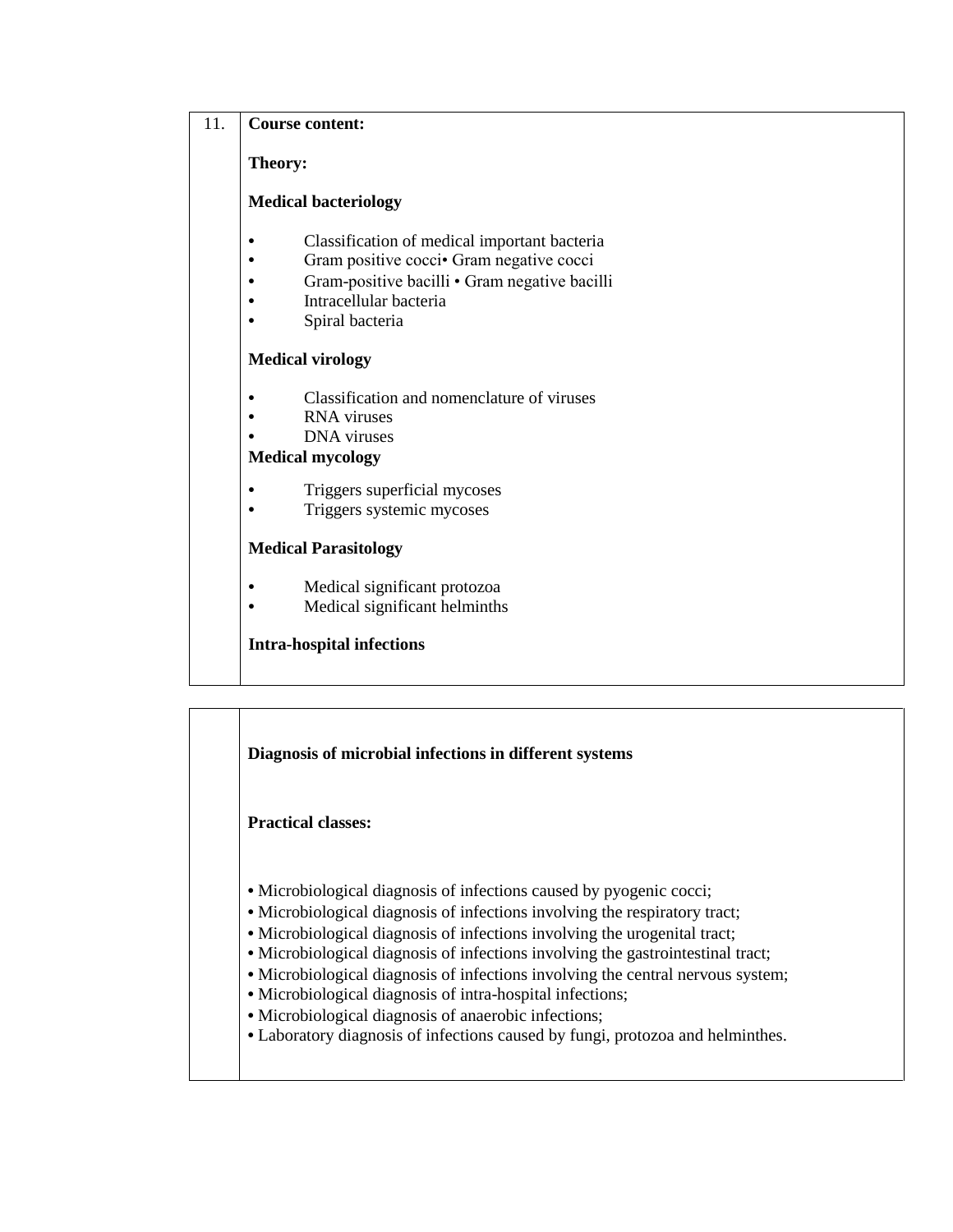## 11. **Course content:**

**Theory:** 

### **Medical bacteriology**

- **•** Classification of medical important bacteria
- Gram positive cocci Gram negative cocci
- **•** Gram-positive bacilli Gram negative bacilli
- **•** Intracellular bacteria
- **•** Spiral bacteria

### **Medical virology**

- **•** Classification and nomenclature of viruses
- **•** RNA viruses
- **•** DNA viruses

# **Medical mycology**

- Triggers superficial mycoses
- Triggers systemic mycoses

## **Medical Parasitology**

- **•** Medical significant protozoa
- **•** Medical significant helminths

## **Intra-hospital infections**

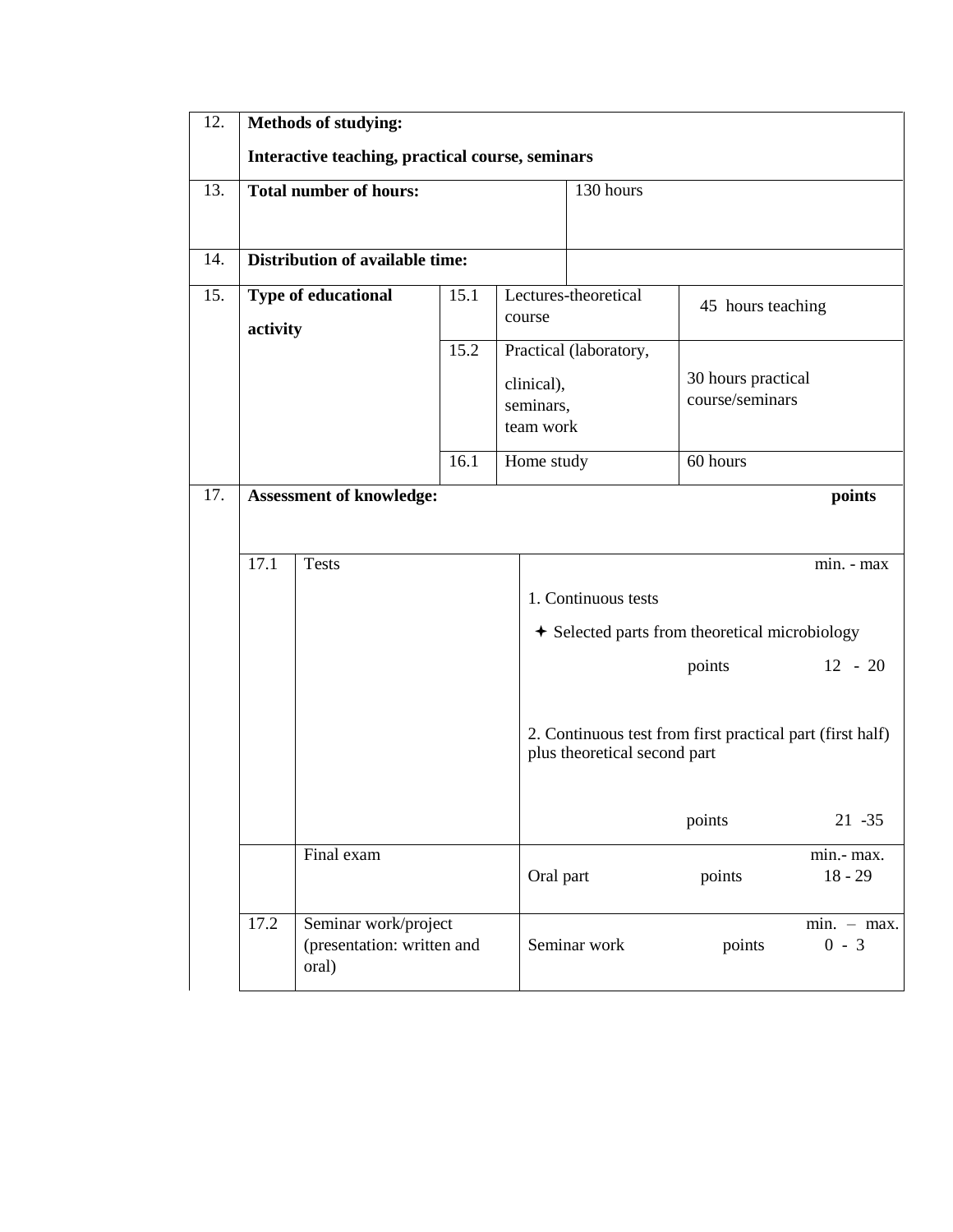| 12. | <b>Methods of studying:</b>                                         |                                 |      |                                      |                                           |                                                           |                          |  |
|-----|---------------------------------------------------------------------|---------------------------------|------|--------------------------------------|-------------------------------------------|-----------------------------------------------------------|--------------------------|--|
|     | Interactive teaching, practical course, seminars                    |                                 |      |                                      |                                           |                                                           |                          |  |
| 13. |                                                                     | <b>Total number of hours:</b>   |      |                                      | 130 hours                                 |                                                           |                          |  |
| 14. |                                                                     | Distribution of available time: |      |                                      |                                           |                                                           |                          |  |
| 15. | activity                                                            | Type of educational             | 15.1 | course                               | Lectures-theoretical<br>45 hours teaching |                                                           |                          |  |
|     |                                                                     |                                 | 15.2 | clinical),<br>seminars,<br>team work | Practical (laboratory,                    | 30 hours practical<br>course/seminars                     |                          |  |
|     | 16.1                                                                |                                 |      |                                      | Home study                                | 60 hours                                                  |                          |  |
| 17. | <b>Assessment of knowledge:</b><br>points                           |                                 |      |                                      |                                           |                                                           |                          |  |
|     |                                                                     |                                 |      |                                      |                                           |                                                           |                          |  |
|     | 17.1                                                                | <b>Tests</b>                    |      |                                      |                                           |                                                           | min. - max               |  |
|     |                                                                     |                                 |      |                                      | 1. Continuous tests                       |                                                           |                          |  |
|     |                                                                     |                                 |      |                                      |                                           | + Selected parts from theoretical microbiology            |                          |  |
|     |                                                                     |                                 |      |                                      |                                           | points                                                    | $12 - 20$                |  |
|     |                                                                     |                                 |      |                                      | plus theoretical second part              | 2. Continuous test from first practical part (first half) |                          |  |
|     |                                                                     |                                 |      |                                      |                                           | points                                                    | $21 - 35$                |  |
|     |                                                                     | Final exam                      |      | Oral part                            |                                           | points                                                    | min.- max.<br>$18 - 29$  |  |
|     | 17.2<br>Seminar work/project<br>(presentation: written and<br>oral) |                                 |      |                                      | Seminar work                              | points                                                    | $min. - max.$<br>$0 - 3$ |  |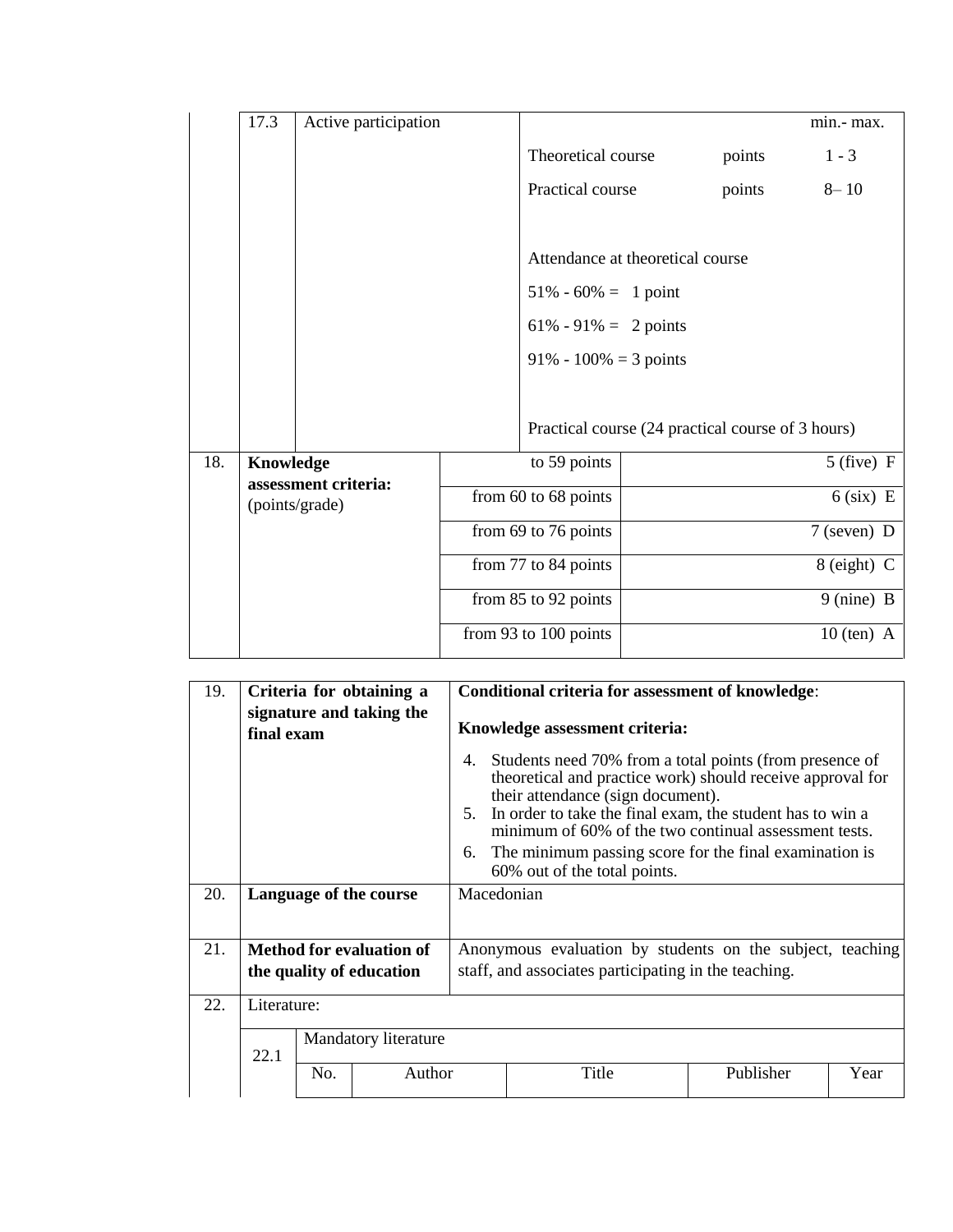|     | 17.3                                   | Active participation |                          |                                                                                                                                                                           |               |              | min.- max.   |
|-----|----------------------------------------|----------------------|--------------------------|---------------------------------------------------------------------------------------------------------------------------------------------------------------------------|---------------|--------------|--------------|
|     |                                        |                      |                          | Theoretical course                                                                                                                                                        |               | points       | $1 - 3$      |
|     |                                        |                      |                          | Practical course                                                                                                                                                          |               | points       | $8 - 10$     |
|     |                                        |                      |                          | Attendance at theoretical course<br>$51\% - 60\% = 1$ point<br>$61\% - 91\% = 2$ points<br>$91\% - 100\% = 3$ points<br>Practical course (24 practical course of 3 hours) |               |              |              |
| 18. | Knowledge                              |                      |                          | to 59 points                                                                                                                                                              |               |              | $5$ (five) F |
|     | assessment criteria:<br>(points/grade) |                      | from $60$ to $68$ points |                                                                                                                                                                           | $6$ (six) E   |              |              |
|     |                                        |                      | from 69 to 76 points     |                                                                                                                                                                           | $7$ (seven) D |              |              |
|     |                                        |                      | from 77 to 84 points     |                                                                                                                                                                           | 8 (eight) C   |              |              |
|     |                                        | from 85 to 92 points |                          | 9 (nine) B                                                                                                                                                                |               |              |              |
|     |                                        |                      | from 93 to 100 points    |                                                                                                                                                                           |               | $10$ (ten) A |              |

| 19. | final exam                      |                      | Criteria for obtaining a<br>signature and taking the | Conditional criteria for assessment of knowledge:<br>Knowledge assessment criteria:                                                                                                                                                                                                                                                                                                       |       |           |      |  |
|-----|---------------------------------|----------------------|------------------------------------------------------|-------------------------------------------------------------------------------------------------------------------------------------------------------------------------------------------------------------------------------------------------------------------------------------------------------------------------------------------------------------------------------------------|-------|-----------|------|--|
|     |                                 |                      |                                                      | Students need 70% from a total points (from presence of<br>4.<br>theoretical and practice work) should receive approval for<br>their attendance (sign document).<br>5. In order to take the final exam, the student has to win a<br>minimum of 60% of the two continual assessment tests.<br>The minimum passing score for the final examination is<br>6.<br>60% out of the total points. |       |           |      |  |
| 20. |                                 |                      | Language of the course                               | Macedonian                                                                                                                                                                                                                                                                                                                                                                                |       |           |      |  |
| 21. | <b>Method for evaluation of</b> |                      |                                                      | Anonymous evaluation by students on the subject, teaching                                                                                                                                                                                                                                                                                                                                 |       |           |      |  |
|     | the quality of education        |                      |                                                      | staff, and associates participating in the teaching.                                                                                                                                                                                                                                                                                                                                      |       |           |      |  |
| 22. | Literature:                     |                      |                                                      |                                                                                                                                                                                                                                                                                                                                                                                           |       |           |      |  |
|     | 22.1                            | Mandatory literature |                                                      |                                                                                                                                                                                                                                                                                                                                                                                           |       |           |      |  |
|     |                                 | No.                  | Author                                               |                                                                                                                                                                                                                                                                                                                                                                                           | Title | Publisher | Year |  |